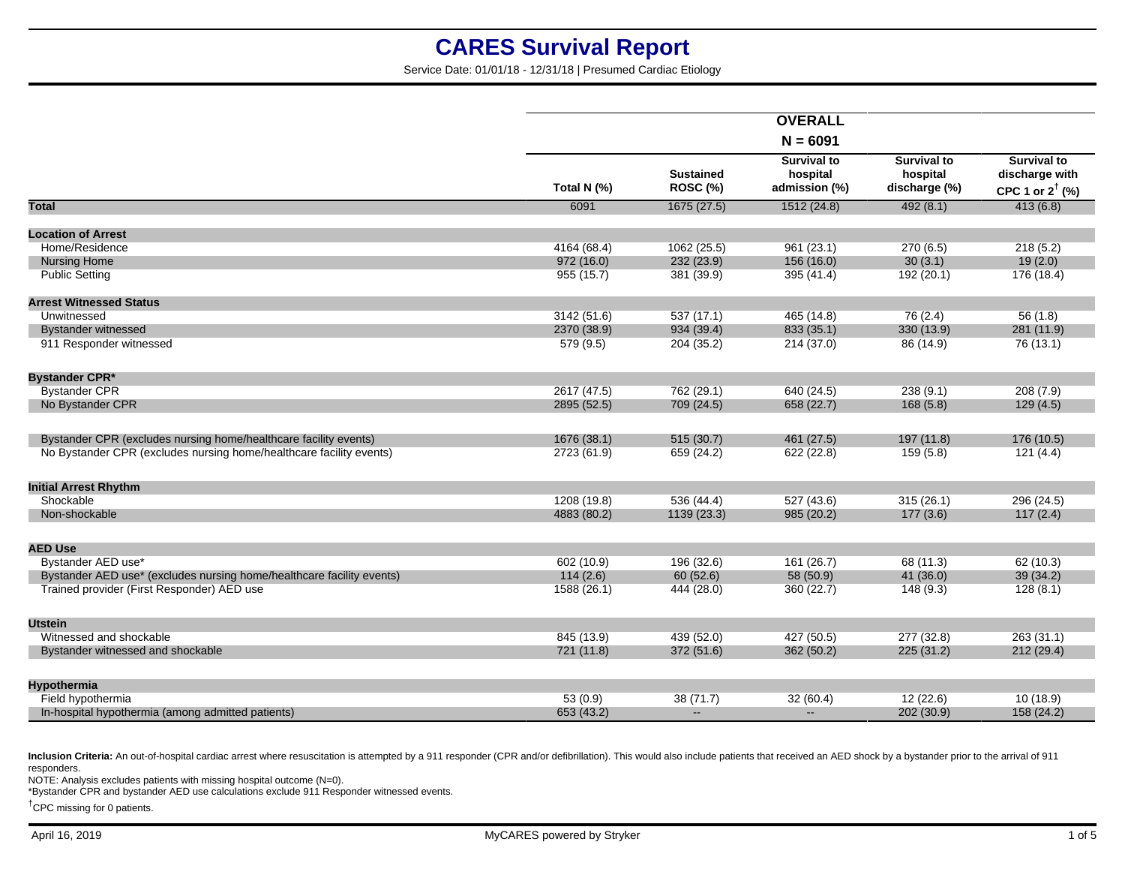Service Date: 01/01/18 - 12/31/18 | Presumed Cardiac Etiology

|                                                                       |             |                                     | <b>OVERALL</b>                                  |                                                 |                                                                    |
|-----------------------------------------------------------------------|-------------|-------------------------------------|-------------------------------------------------|-------------------------------------------------|--------------------------------------------------------------------|
|                                                                       |             |                                     | $N = 6091$                                      |                                                 |                                                                    |
|                                                                       | Total N (%) | <b>Sustained</b><br><b>ROSC (%)</b> | <b>Survival to</b><br>hospital<br>admission (%) | <b>Survival to</b><br>hospital<br>discharge (%) | <b>Survival to</b><br>discharge with<br>CPC 1 or $2^{\dagger}$ (%) |
| <b>Total</b>                                                          | 6091        | 1675(27.5)                          | 1512(24.8)                                      | 492(8.1)                                        | 413(6.8)                                                           |
| <b>Location of Arrest</b>                                             |             |                                     |                                                 |                                                 |                                                                    |
| Home/Residence                                                        | 4164 (68.4) | 1062 (25.5)                         | 961 (23.1)                                      | 270(6.5)                                        | 218(5.2)                                                           |
| <b>Nursing Home</b>                                                   | 972(16.0)   | 232(23.9)                           | 156 (16.0)                                      | 30(3.1)                                         | 19(2.0)                                                            |
| <b>Public Setting</b>                                                 | 955 (15.7)  | 381 (39.9)                          | 395 (41.4)                                      | 192 (20.1)                                      | 176 (18.4)                                                         |
|                                                                       |             |                                     |                                                 |                                                 |                                                                    |
| <b>Arrest Witnessed Status</b>                                        |             |                                     |                                                 |                                                 |                                                                    |
| Unwitnessed                                                           | 3142 (51.6) | 537(17.1)                           | 465 (14.8)                                      | 76(2.4)                                         | 56(1.8)                                                            |
| <b>Bystander witnessed</b>                                            | 2370 (38.9) | 934 (39.4)                          | 833 (35.1)                                      | 330 (13.9)                                      | 281 (11.9)                                                         |
| 911 Responder witnessed                                               | 579 (9.5)   | 204 (35.2)                          | 214 (37.0)                                      | 86 (14.9)                                       | 76(13.1)                                                           |
| <b>Bystander CPR*</b>                                                 |             |                                     |                                                 |                                                 |                                                                    |
| <b>Bystander CPR</b>                                                  | 2617 (47.5) | 762 (29.1)                          | 640 (24.5)                                      | 238(9.1)                                        | 208(7.9)                                                           |
| No Bystander CPR                                                      | 2895 (52.5) | 709 (24.5)                          | 658 (22.7)                                      | 168(5.8)                                        | 129(4.5)                                                           |
|                                                                       |             |                                     |                                                 |                                                 |                                                                    |
| Bystander CPR (excludes nursing home/healthcare facility events)      | 1676 (38.1) | 515 (30.7)                          | 461 (27.5)                                      | 197 (11.8)                                      | 176 (10.5)                                                         |
| No Bystander CPR (excludes nursing home/healthcare facility events)   | 2723 (61.9) | 659 (24.2)                          | 622 (22.8)                                      | 159(5.8)                                        | 121(4.4)                                                           |
|                                                                       |             |                                     |                                                 |                                                 |                                                                    |
| <b>Initial Arrest Rhythm</b>                                          |             |                                     |                                                 |                                                 |                                                                    |
| Shockable                                                             | 1208 (19.8) | 536(44.4)                           | 527(43.6)                                       | 315(26.1)                                       | 296 (24.5)                                                         |
| Non-shockable                                                         | 4883 (80.2) | 1139 (23.3)                         | 985 (20.2)                                      | 177(3.6)                                        | 117(2.4)                                                           |
| <b>AED Use</b>                                                        |             |                                     |                                                 |                                                 |                                                                    |
| Bystander AED use*                                                    | 602 (10.9)  | 196 (32.6)                          | 161(26.7)                                       | 68 (11.3)                                       | 62(10.3)                                                           |
| Bystander AED use* (excludes nursing home/healthcare facility events) | 114(2.6)    | 60(52.6)                            | 58 (50.9)                                       | 41(36.0)                                        | 39(34.2)                                                           |
| Trained provider (First Responder) AED use                            | 1588 (26.1) | 444 (28.0)                          | 360 (22.7)                                      | 148(9.3)                                        | 128(8.1)                                                           |
|                                                                       |             |                                     |                                                 |                                                 |                                                                    |
| <b>Utstein</b>                                                        |             |                                     |                                                 |                                                 |                                                                    |
| Witnessed and shockable                                               | 845 (13.9)  | 439 (52.0)                          | 427 (50.5)                                      | 277 (32.8)                                      | 263(31.1)                                                          |
| Bystander witnessed and shockable                                     | 721 (11.8)  | 372 (51.6)                          | 362 (50.2)                                      | 225(31.2)                                       | 212(29.4)                                                          |
| Hypothermia                                                           |             |                                     |                                                 |                                                 |                                                                    |
| Field hypothermia                                                     | 53(0.9)     | 38 (71.7)                           | 32(60.4)                                        | 12(22.6)                                        | 10(18.9)                                                           |
| In-hospital hypothermia (among admitted patients)                     | 653 (43.2)  | $\mathbf{u}$                        | $\mathbf{u}$                                    | 202 (30.9)                                      | 158 (24.2)                                                         |
|                                                                       |             |                                     |                                                 |                                                 |                                                                    |

Inclusion Criteria: An out-of-hospital cardiac arrest where resuscitation is attempted by a 911 responder (CPR and/or defibrillation). This would also include patients that received an AED shock by a bystander prior to the responders.

NOTE: Analysis excludes patients with missing hospital outcome (N=0).

\*Bystander CPR and bystander AED use calculations exclude 911 Responder witnessed events.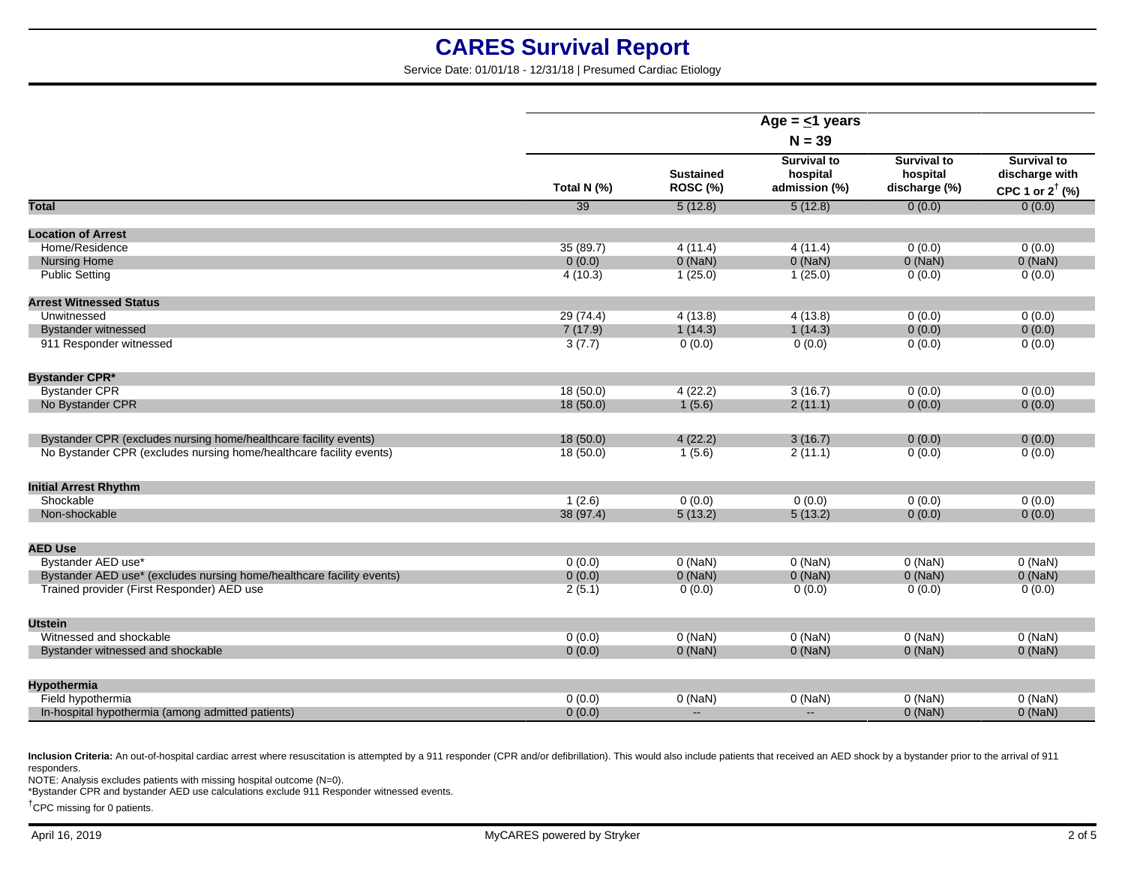Service Date: 01/01/18 - 12/31/18 | Presumed Cardiac Etiology

|                                                                       |             |                              | Age = $\leq$ 1 years                            |                                                 |                                                                    |  |
|-----------------------------------------------------------------------|-------------|------------------------------|-------------------------------------------------|-------------------------------------------------|--------------------------------------------------------------------|--|
|                                                                       | $N = 39$    |                              |                                                 |                                                 |                                                                    |  |
|                                                                       | Total N (%) | <b>Sustained</b><br>ROSC (%) | <b>Survival to</b><br>hospital<br>admission (%) | <b>Survival to</b><br>hospital<br>discharge (%) | <b>Survival to</b><br>discharge with<br>CPC 1 or $2^{\dagger}$ (%) |  |
| <b>Total</b>                                                          | 39          | 5(12.8)                      | 5(12.8)                                         | 0(0.0)                                          | 0(0.0)                                                             |  |
| <b>Location of Arrest</b>                                             |             |                              |                                                 |                                                 |                                                                    |  |
| Home/Residence                                                        | 35(89.7)    | 4(11.4)                      | 4(11.4)                                         | 0(0.0)                                          | 0(0.0)                                                             |  |
| <b>Nursing Home</b>                                                   | 0(0.0)      | $0$ (NaN)                    | $0$ (NaN)                                       | $0$ (NaN)                                       | $0$ (NaN)                                                          |  |
| <b>Public Setting</b>                                                 | 4(10.3)     | 1(25.0)                      | 1(25.0)                                         | 0(0.0)                                          | 0(0.0)                                                             |  |
| <b>Arrest Witnessed Status</b>                                        |             |                              |                                                 |                                                 |                                                                    |  |
| Unwitnessed                                                           | 29 (74.4)   | 4(13.8)                      | 4(13.8)                                         | 0(0.0)                                          | 0(0.0)                                                             |  |
| <b>Bystander witnessed</b>                                            | 7(17.9)     | 1(14.3)                      | 1(14.3)                                         | 0(0.0)                                          | 0(0.0)                                                             |  |
| 911 Responder witnessed                                               | 3(7.7)      | 0(0.0)                       | 0(0.0)                                          | 0(0.0)                                          | 0(0.0)                                                             |  |
| <b>Bystander CPR*</b>                                                 |             |                              |                                                 |                                                 |                                                                    |  |
| <b>Bystander CPR</b>                                                  | 18(50.0)    | 4(22.2)                      | 3(16.7)                                         | 0(0.0)                                          | 0(0.0)                                                             |  |
| No Bystander CPR                                                      | 18(50.0)    | 1(5.6)                       | 2(11.1)                                         | 0(0.0)                                          | 0(0.0)                                                             |  |
| Bystander CPR (excludes nursing home/healthcare facility events)      | 18(50.0)    | 4(22.2)                      | 3(16.7)                                         | 0(0.0)                                          | 0(0.0)                                                             |  |
| No Bystander CPR (excludes nursing home/healthcare facility events)   | 18(50.0)    | 1(5.6)                       | 2(11.1)                                         | 0(0.0)                                          | 0(0.0)                                                             |  |
| <b>Initial Arrest Rhythm</b>                                          |             |                              |                                                 |                                                 |                                                                    |  |
| Shockable                                                             | 1(2.6)      | 0(0.0)                       | 0(0.0)                                          | 0(0.0)                                          | 0(0.0)                                                             |  |
| Non-shockable                                                         | 38 (97.4)   | 5(13.2)                      | 5(13.2)                                         | 0(0.0)                                          | 0(0.0)                                                             |  |
| <b>AED Use</b>                                                        |             |                              |                                                 |                                                 |                                                                    |  |
| Bystander AED use*                                                    | 0(0.0)      | $0$ (NaN)                    | $0$ (NaN)                                       | $0$ (NaN)                                       | $0$ (NaN)                                                          |  |
| Bystander AED use* (excludes nursing home/healthcare facility events) | 0(0.0)      | $0$ (NaN)                    | $0$ (NaN)                                       | $0$ (NaN)                                       | $0$ (NaN)                                                          |  |
| Trained provider (First Responder) AED use                            | 2(5.1)      | 0(0.0)                       | 0(0.0)                                          | 0(0.0)                                          | 0(0.0)                                                             |  |
| <b>Utstein</b>                                                        |             |                              |                                                 |                                                 |                                                                    |  |
| Witnessed and shockable                                               | 0(0.0)      | $0$ (NaN)                    | $0$ (NaN)                                       | $0$ (NaN)                                       | $0$ (NaN)                                                          |  |
| Bystander witnessed and shockable                                     | 0(0.0)      | $0$ (NaN)                    | $0$ (NaN)                                       | $0$ (NaN)                                       | $0$ (NaN)                                                          |  |
| <b>Hypothermia</b>                                                    |             |                              |                                                 |                                                 |                                                                    |  |
| Field hypothermia                                                     | 0(0.0)      | $0$ (NaN)                    | $0$ (NaN)                                       | $0$ (NaN)                                       | $0$ (NaN)                                                          |  |
| In-hospital hypothermia (among admitted patients)                     | 0(0.0)      | $\overline{\phantom{a}}$     | $\mathbf{u}$                                    | $0$ (NaN)                                       | $0$ (NaN)                                                          |  |
|                                                                       |             |                              |                                                 |                                                 |                                                                    |  |

Inclusion Criteria: An out-of-hospital cardiac arrest where resuscitation is attempted by a 911 responder (CPR and/or defibrillation). This would also include patients that received an AED shock by a bystander prior to the responders.

NOTE: Analysis excludes patients with missing hospital outcome (N=0).

\*Bystander CPR and bystander AED use calculations exclude 911 Responder witnessed events.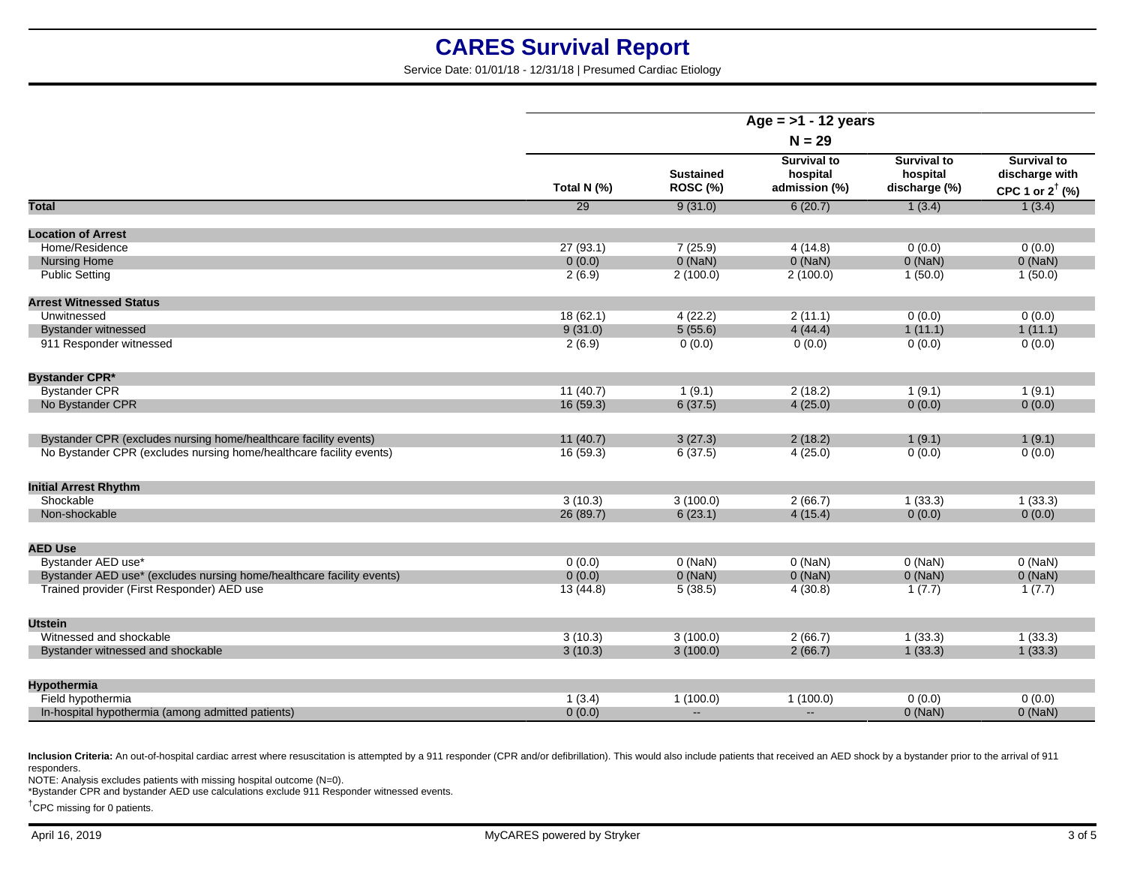Service Date: 01/01/18 - 12/31/18 | Presumed Cardiac Etiology

| $N = 29$<br><b>Survival to</b><br><b>Survival to</b><br><b>Survival to</b><br><b>Sustained</b><br>hospital<br>hospital<br>discharge with<br><b>ROSC (%)</b><br>Total N (%)<br>admission (%)<br>discharge (%)<br>CPC 1 or $2^{\dagger}$ (%)<br>1(3.4)<br>Total<br>29<br>9(31.0)<br>6(20.7)<br>1(3.4)<br><b>Location of Arrest</b><br>27(93.1)<br>7(25.9)<br>0(0.0)<br>0(0.0)<br>Home/Residence<br>4(14.8)<br><b>Nursing Home</b><br>0(0.0)<br>$0$ (NaN)<br>$0$ (NaN)<br>$0$ (NaN)<br>$0$ (NaN)<br><b>Public Setting</b><br>2(6.9)<br>2(100.0)<br>2(100.0)<br>1(50.0)<br>1(50.0)<br><b>Arrest Witnessed Status</b><br>Unwitnessed<br>18(62.1)<br>2(11.1)<br>4(22.2)<br>0(0.0)<br>0(0.0)<br>9(31.0)<br>5(55.6)<br>4(44.4)<br>1(11.1)<br>1(11.1)<br><b>Bystander witnessed</b><br>911 Responder witnessed<br>0(0.0)<br>0(0.0)<br>2(6.9)<br>0(0.0)<br>0(0.0)<br><b>Bystander CPR*</b><br><b>Bystander CPR</b><br>11(40.7)<br>1(9.1)<br>2(18.2)<br>1(9.1)<br>1(9.1)<br>6(37.5)<br>No Bystander CPR<br>16(59.3)<br>4(25.0)<br>0(0.0)<br>0(0.0)<br>11(40.7)<br>Bystander CPR (excludes nursing home/healthcare facility events)<br>3(27.3)<br>2(18.2)<br>1(9.1)<br>1(9.1)<br>No Bystander CPR (excludes nursing home/healthcare facility events)<br>16(59.3)<br>6(37.5)<br>0(0.0)<br>0(0.0)<br>4(25.0)<br><b>Initial Arrest Rhythm</b><br>3(10.3)<br>3(100.0)<br>Shockable<br>2(66.7)<br>1(33.3)<br>1(33.3)<br>Non-shockable<br>26 (89.7)<br>6(23.1)<br>4(15.4)<br>0(0.0)<br>0(0.0)<br><b>AED Use</b><br>Bystander AED use*<br>$0$ (NaN)<br>$0$ (NaN)<br>$0$ (NaN)<br>$0$ (NaN)<br>0(0.0)<br>$0$ (NaN)<br>$0$ (NaN)<br>$0$ (NaN)<br>Bystander AED use* (excludes nursing home/healthcare facility events)<br>0(0.0)<br>$0$ (NaN)<br>Trained provider (First Responder) AED use<br>5(38.5)<br>4(30.8)<br>1(7.7)<br>13 (44.8)<br>1(7.7)<br><b>Utstein</b><br>3(100.0)<br>2(66.7)<br>1(33.3)<br>Witnessed and shockable<br>3(10.3)<br>1(33.3)<br>3(10.3)<br>3(100.0)<br>2(66.7)<br>1(33.3)<br>1(33.3)<br>Bystander witnessed and shockable<br><b>Hypothermia</b><br>Field hypothermia<br>1(100.0)<br>1(100.0)<br>0(0.0)<br>1(3.4)<br>0(0.0)<br>$\sim$<br>$\sim$ |                                                   | Age = $>1$ - 12 years |  |  |           |           |
|------------------------------------------------------------------------------------------------------------------------------------------------------------------------------------------------------------------------------------------------------------------------------------------------------------------------------------------------------------------------------------------------------------------------------------------------------------------------------------------------------------------------------------------------------------------------------------------------------------------------------------------------------------------------------------------------------------------------------------------------------------------------------------------------------------------------------------------------------------------------------------------------------------------------------------------------------------------------------------------------------------------------------------------------------------------------------------------------------------------------------------------------------------------------------------------------------------------------------------------------------------------------------------------------------------------------------------------------------------------------------------------------------------------------------------------------------------------------------------------------------------------------------------------------------------------------------------------------------------------------------------------------------------------------------------------------------------------------------------------------------------------------------------------------------------------------------------------------------------------------------------------------------------------------------------------------------------------------------------------------------------------------------------------------------------------------------------------------------------------------------------------------------|---------------------------------------------------|-----------------------|--|--|-----------|-----------|
|                                                                                                                                                                                                                                                                                                                                                                                                                                                                                                                                                                                                                                                                                                                                                                                                                                                                                                                                                                                                                                                                                                                                                                                                                                                                                                                                                                                                                                                                                                                                                                                                                                                                                                                                                                                                                                                                                                                                                                                                                                                                                                                                                      |                                                   |                       |  |  |           |           |
|                                                                                                                                                                                                                                                                                                                                                                                                                                                                                                                                                                                                                                                                                                                                                                                                                                                                                                                                                                                                                                                                                                                                                                                                                                                                                                                                                                                                                                                                                                                                                                                                                                                                                                                                                                                                                                                                                                                                                                                                                                                                                                                                                      |                                                   |                       |  |  |           |           |
|                                                                                                                                                                                                                                                                                                                                                                                                                                                                                                                                                                                                                                                                                                                                                                                                                                                                                                                                                                                                                                                                                                                                                                                                                                                                                                                                                                                                                                                                                                                                                                                                                                                                                                                                                                                                                                                                                                                                                                                                                                                                                                                                                      |                                                   |                       |  |  |           |           |
|                                                                                                                                                                                                                                                                                                                                                                                                                                                                                                                                                                                                                                                                                                                                                                                                                                                                                                                                                                                                                                                                                                                                                                                                                                                                                                                                                                                                                                                                                                                                                                                                                                                                                                                                                                                                                                                                                                                                                                                                                                                                                                                                                      |                                                   |                       |  |  |           |           |
|                                                                                                                                                                                                                                                                                                                                                                                                                                                                                                                                                                                                                                                                                                                                                                                                                                                                                                                                                                                                                                                                                                                                                                                                                                                                                                                                                                                                                                                                                                                                                                                                                                                                                                                                                                                                                                                                                                                                                                                                                                                                                                                                                      |                                                   |                       |  |  |           |           |
|                                                                                                                                                                                                                                                                                                                                                                                                                                                                                                                                                                                                                                                                                                                                                                                                                                                                                                                                                                                                                                                                                                                                                                                                                                                                                                                                                                                                                                                                                                                                                                                                                                                                                                                                                                                                                                                                                                                                                                                                                                                                                                                                                      |                                                   |                       |  |  |           |           |
|                                                                                                                                                                                                                                                                                                                                                                                                                                                                                                                                                                                                                                                                                                                                                                                                                                                                                                                                                                                                                                                                                                                                                                                                                                                                                                                                                                                                                                                                                                                                                                                                                                                                                                                                                                                                                                                                                                                                                                                                                                                                                                                                                      |                                                   |                       |  |  |           |           |
|                                                                                                                                                                                                                                                                                                                                                                                                                                                                                                                                                                                                                                                                                                                                                                                                                                                                                                                                                                                                                                                                                                                                                                                                                                                                                                                                                                                                                                                                                                                                                                                                                                                                                                                                                                                                                                                                                                                                                                                                                                                                                                                                                      |                                                   |                       |  |  |           |           |
|                                                                                                                                                                                                                                                                                                                                                                                                                                                                                                                                                                                                                                                                                                                                                                                                                                                                                                                                                                                                                                                                                                                                                                                                                                                                                                                                                                                                                                                                                                                                                                                                                                                                                                                                                                                                                                                                                                                                                                                                                                                                                                                                                      |                                                   |                       |  |  |           |           |
|                                                                                                                                                                                                                                                                                                                                                                                                                                                                                                                                                                                                                                                                                                                                                                                                                                                                                                                                                                                                                                                                                                                                                                                                                                                                                                                                                                                                                                                                                                                                                                                                                                                                                                                                                                                                                                                                                                                                                                                                                                                                                                                                                      |                                                   |                       |  |  |           |           |
|                                                                                                                                                                                                                                                                                                                                                                                                                                                                                                                                                                                                                                                                                                                                                                                                                                                                                                                                                                                                                                                                                                                                                                                                                                                                                                                                                                                                                                                                                                                                                                                                                                                                                                                                                                                                                                                                                                                                                                                                                                                                                                                                                      |                                                   |                       |  |  |           |           |
|                                                                                                                                                                                                                                                                                                                                                                                                                                                                                                                                                                                                                                                                                                                                                                                                                                                                                                                                                                                                                                                                                                                                                                                                                                                                                                                                                                                                                                                                                                                                                                                                                                                                                                                                                                                                                                                                                                                                                                                                                                                                                                                                                      |                                                   |                       |  |  |           |           |
|                                                                                                                                                                                                                                                                                                                                                                                                                                                                                                                                                                                                                                                                                                                                                                                                                                                                                                                                                                                                                                                                                                                                                                                                                                                                                                                                                                                                                                                                                                                                                                                                                                                                                                                                                                                                                                                                                                                                                                                                                                                                                                                                                      |                                                   |                       |  |  |           |           |
|                                                                                                                                                                                                                                                                                                                                                                                                                                                                                                                                                                                                                                                                                                                                                                                                                                                                                                                                                                                                                                                                                                                                                                                                                                                                                                                                                                                                                                                                                                                                                                                                                                                                                                                                                                                                                                                                                                                                                                                                                                                                                                                                                      |                                                   |                       |  |  |           |           |
|                                                                                                                                                                                                                                                                                                                                                                                                                                                                                                                                                                                                                                                                                                                                                                                                                                                                                                                                                                                                                                                                                                                                                                                                                                                                                                                                                                                                                                                                                                                                                                                                                                                                                                                                                                                                                                                                                                                                                                                                                                                                                                                                                      |                                                   |                       |  |  |           |           |
|                                                                                                                                                                                                                                                                                                                                                                                                                                                                                                                                                                                                                                                                                                                                                                                                                                                                                                                                                                                                                                                                                                                                                                                                                                                                                                                                                                                                                                                                                                                                                                                                                                                                                                                                                                                                                                                                                                                                                                                                                                                                                                                                                      |                                                   |                       |  |  |           |           |
|                                                                                                                                                                                                                                                                                                                                                                                                                                                                                                                                                                                                                                                                                                                                                                                                                                                                                                                                                                                                                                                                                                                                                                                                                                                                                                                                                                                                                                                                                                                                                                                                                                                                                                                                                                                                                                                                                                                                                                                                                                                                                                                                                      |                                                   |                       |  |  |           |           |
|                                                                                                                                                                                                                                                                                                                                                                                                                                                                                                                                                                                                                                                                                                                                                                                                                                                                                                                                                                                                                                                                                                                                                                                                                                                                                                                                                                                                                                                                                                                                                                                                                                                                                                                                                                                                                                                                                                                                                                                                                                                                                                                                                      |                                                   |                       |  |  |           |           |
|                                                                                                                                                                                                                                                                                                                                                                                                                                                                                                                                                                                                                                                                                                                                                                                                                                                                                                                                                                                                                                                                                                                                                                                                                                                                                                                                                                                                                                                                                                                                                                                                                                                                                                                                                                                                                                                                                                                                                                                                                                                                                                                                                      |                                                   |                       |  |  |           |           |
|                                                                                                                                                                                                                                                                                                                                                                                                                                                                                                                                                                                                                                                                                                                                                                                                                                                                                                                                                                                                                                                                                                                                                                                                                                                                                                                                                                                                                                                                                                                                                                                                                                                                                                                                                                                                                                                                                                                                                                                                                                                                                                                                                      |                                                   |                       |  |  |           |           |
|                                                                                                                                                                                                                                                                                                                                                                                                                                                                                                                                                                                                                                                                                                                                                                                                                                                                                                                                                                                                                                                                                                                                                                                                                                                                                                                                                                                                                                                                                                                                                                                                                                                                                                                                                                                                                                                                                                                                                                                                                                                                                                                                                      |                                                   |                       |  |  |           |           |
|                                                                                                                                                                                                                                                                                                                                                                                                                                                                                                                                                                                                                                                                                                                                                                                                                                                                                                                                                                                                                                                                                                                                                                                                                                                                                                                                                                                                                                                                                                                                                                                                                                                                                                                                                                                                                                                                                                                                                                                                                                                                                                                                                      |                                                   |                       |  |  |           |           |
|                                                                                                                                                                                                                                                                                                                                                                                                                                                                                                                                                                                                                                                                                                                                                                                                                                                                                                                                                                                                                                                                                                                                                                                                                                                                                                                                                                                                                                                                                                                                                                                                                                                                                                                                                                                                                                                                                                                                                                                                                                                                                                                                                      |                                                   |                       |  |  |           |           |
|                                                                                                                                                                                                                                                                                                                                                                                                                                                                                                                                                                                                                                                                                                                                                                                                                                                                                                                                                                                                                                                                                                                                                                                                                                                                                                                                                                                                                                                                                                                                                                                                                                                                                                                                                                                                                                                                                                                                                                                                                                                                                                                                                      |                                                   |                       |  |  |           |           |
|                                                                                                                                                                                                                                                                                                                                                                                                                                                                                                                                                                                                                                                                                                                                                                                                                                                                                                                                                                                                                                                                                                                                                                                                                                                                                                                                                                                                                                                                                                                                                                                                                                                                                                                                                                                                                                                                                                                                                                                                                                                                                                                                                      |                                                   |                       |  |  |           |           |
|                                                                                                                                                                                                                                                                                                                                                                                                                                                                                                                                                                                                                                                                                                                                                                                                                                                                                                                                                                                                                                                                                                                                                                                                                                                                                                                                                                                                                                                                                                                                                                                                                                                                                                                                                                                                                                                                                                                                                                                                                                                                                                                                                      |                                                   |                       |  |  |           |           |
|                                                                                                                                                                                                                                                                                                                                                                                                                                                                                                                                                                                                                                                                                                                                                                                                                                                                                                                                                                                                                                                                                                                                                                                                                                                                                                                                                                                                                                                                                                                                                                                                                                                                                                                                                                                                                                                                                                                                                                                                                                                                                                                                                      |                                                   |                       |  |  |           |           |
|                                                                                                                                                                                                                                                                                                                                                                                                                                                                                                                                                                                                                                                                                                                                                                                                                                                                                                                                                                                                                                                                                                                                                                                                                                                                                                                                                                                                                                                                                                                                                                                                                                                                                                                                                                                                                                                                                                                                                                                                                                                                                                                                                      |                                                   |                       |  |  |           |           |
|                                                                                                                                                                                                                                                                                                                                                                                                                                                                                                                                                                                                                                                                                                                                                                                                                                                                                                                                                                                                                                                                                                                                                                                                                                                                                                                                                                                                                                                                                                                                                                                                                                                                                                                                                                                                                                                                                                                                                                                                                                                                                                                                                      | In-hospital hypothermia (among admitted patients) | 0(0.0)                |  |  | $0$ (NaN) | $0$ (NaN) |

Inclusion Criteria: An out-of-hospital cardiac arrest where resuscitation is attempted by a 911 responder (CPR and/or defibrillation). This would also include patients that received an AED shock by a bystander prior to the responders.

NOTE: Analysis excludes patients with missing hospital outcome (N=0).

\*Bystander CPR and bystander AED use calculations exclude 911 Responder witnessed events.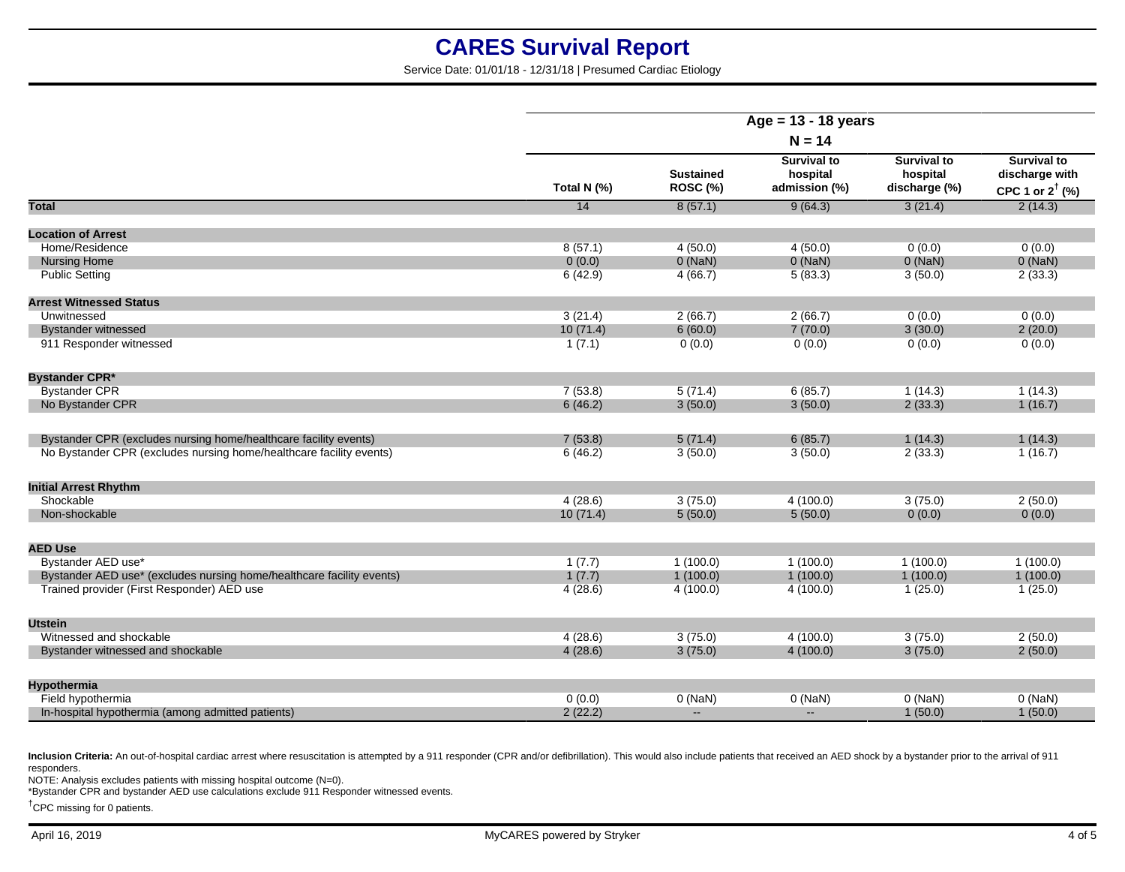Service Date: 01/01/18 - 12/31/18 | Presumed Cardiac Etiology

| $N = 14$<br><b>Survival to</b><br><b>Survival to</b><br><b>Survival to</b><br><b>Sustained</b><br>hospital<br>discharge with<br>hospital<br>ROSC (%)<br>Total N (%)<br>admission (%)<br>discharge (%)<br>CPC 1 or $2^{\dagger}$ (%)<br>2(14.3)<br>Total<br>14<br>8(57.1)<br>9(64.3)<br>3(21.4)<br><b>Location of Arrest</b><br>4(50.0)<br>0(0.0)<br>0(0.0)<br>Home/Residence<br>8(57.1)<br>4(50.0)<br>$0$ (NaN)<br>$0$ (NaN)<br>$0$ (NaN)<br>$0$ (NaN)<br><b>Nursing Home</b><br>0(0.0)<br><b>Public Setting</b><br>4(66.7)<br>5(83.3)<br>2(33.3)<br>6(42.9)<br>3(50.0)<br><b>Arrest Witnessed Status</b><br>Unwitnessed<br>3(21.4)<br>2(66.7)<br>2(66.7)<br>0(0.0)<br>0(0.0)<br>6(60.0)<br>7(70.0)<br><b>Bystander witnessed</b><br>10(71.4)<br>3(30.0)<br>2(20.0)<br>911 Responder witnessed<br>1(7.1)<br>0(0.0)<br>0(0.0)<br>0(0.0)<br>0(0.0)<br><b>Bystander CPR*</b><br><b>Bystander CPR</b><br>7(53.8)<br>5(71.4)<br>6(85.7)<br>1(14.3)<br>1(14.3)<br>No Bystander CPR<br>6(46.2)<br>3(50.0)<br>3(50.0)<br>2(33.3)<br>1(16.7)<br>Bystander CPR (excludes nursing home/healthcare facility events)<br>7(53.8)<br>5(71.4)<br>6(85.7)<br>1(14.3)<br>1(14.3)<br>No Bystander CPR (excludes nursing home/healthcare facility events)<br>3(50.0)<br>3(50.0)<br>6(46.2)<br>2(33.3)<br>1(16.7)<br><b>Initial Arrest Rhythm</b><br>Shockable<br>4(28.6)<br>3(75.0)<br>4(100.0)<br>3(75.0)<br>2(50.0)<br>5(50.0)<br>5(50.0)<br>0(0.0)<br>Non-shockable<br>10(71.4)<br>0(0.0)<br><b>AED Use</b><br>Bystander AED use*<br>1(100.0)<br>1(100.0)<br>1(7.7)<br>1(100.0)<br>1(100.0)<br>1(7.7)<br>1(100.0)<br>Bystander AED use* (excludes nursing home/healthcare facility events)<br>1(100.0)<br>1(100.0)<br>1(100.0)<br>Trained provider (First Responder) AED use<br>4(28.6)<br>4(100.0)<br>4(100.0)<br>1(25.0)<br>1(25.0)<br><b>Utstein</b><br>Witnessed and shockable<br>3(75.0)<br>4(100.0)<br>3(75.0)<br>2(50.0)<br>4(28.6)<br>4(28.6)<br>3(75.0)<br>4(100.0)<br>3(75.0)<br>2(50.0)<br>Bystander witnessed and shockable<br><b>Hypothermia</b><br>Field hypothermia<br>0(0.0)<br>$0$ (NaN)<br>$0$ (NaN)<br>$0$ (NaN)<br>$0$ (NaN)<br>$\sim$<br>$\sim$ |                                                   | Age = $13 - 18$ years |  |  |         |         |
|-----------------------------------------------------------------------------------------------------------------------------------------------------------------------------------------------------------------------------------------------------------------------------------------------------------------------------------------------------------------------------------------------------------------------------------------------------------------------------------------------------------------------------------------------------------------------------------------------------------------------------------------------------------------------------------------------------------------------------------------------------------------------------------------------------------------------------------------------------------------------------------------------------------------------------------------------------------------------------------------------------------------------------------------------------------------------------------------------------------------------------------------------------------------------------------------------------------------------------------------------------------------------------------------------------------------------------------------------------------------------------------------------------------------------------------------------------------------------------------------------------------------------------------------------------------------------------------------------------------------------------------------------------------------------------------------------------------------------------------------------------------------------------------------------------------------------------------------------------------------------------------------------------------------------------------------------------------------------------------------------------------------------------------------------------------------------------------------------------------------------------------------------------|---------------------------------------------------|-----------------------|--|--|---------|---------|
|                                                                                                                                                                                                                                                                                                                                                                                                                                                                                                                                                                                                                                                                                                                                                                                                                                                                                                                                                                                                                                                                                                                                                                                                                                                                                                                                                                                                                                                                                                                                                                                                                                                                                                                                                                                                                                                                                                                                                                                                                                                                                                                                                     |                                                   |                       |  |  |         |         |
|                                                                                                                                                                                                                                                                                                                                                                                                                                                                                                                                                                                                                                                                                                                                                                                                                                                                                                                                                                                                                                                                                                                                                                                                                                                                                                                                                                                                                                                                                                                                                                                                                                                                                                                                                                                                                                                                                                                                                                                                                                                                                                                                                     |                                                   |                       |  |  |         |         |
|                                                                                                                                                                                                                                                                                                                                                                                                                                                                                                                                                                                                                                                                                                                                                                                                                                                                                                                                                                                                                                                                                                                                                                                                                                                                                                                                                                                                                                                                                                                                                                                                                                                                                                                                                                                                                                                                                                                                                                                                                                                                                                                                                     |                                                   |                       |  |  |         |         |
|                                                                                                                                                                                                                                                                                                                                                                                                                                                                                                                                                                                                                                                                                                                                                                                                                                                                                                                                                                                                                                                                                                                                                                                                                                                                                                                                                                                                                                                                                                                                                                                                                                                                                                                                                                                                                                                                                                                                                                                                                                                                                                                                                     |                                                   |                       |  |  |         |         |
|                                                                                                                                                                                                                                                                                                                                                                                                                                                                                                                                                                                                                                                                                                                                                                                                                                                                                                                                                                                                                                                                                                                                                                                                                                                                                                                                                                                                                                                                                                                                                                                                                                                                                                                                                                                                                                                                                                                                                                                                                                                                                                                                                     |                                                   |                       |  |  |         |         |
|                                                                                                                                                                                                                                                                                                                                                                                                                                                                                                                                                                                                                                                                                                                                                                                                                                                                                                                                                                                                                                                                                                                                                                                                                                                                                                                                                                                                                                                                                                                                                                                                                                                                                                                                                                                                                                                                                                                                                                                                                                                                                                                                                     |                                                   |                       |  |  |         |         |
|                                                                                                                                                                                                                                                                                                                                                                                                                                                                                                                                                                                                                                                                                                                                                                                                                                                                                                                                                                                                                                                                                                                                                                                                                                                                                                                                                                                                                                                                                                                                                                                                                                                                                                                                                                                                                                                                                                                                                                                                                                                                                                                                                     |                                                   |                       |  |  |         |         |
|                                                                                                                                                                                                                                                                                                                                                                                                                                                                                                                                                                                                                                                                                                                                                                                                                                                                                                                                                                                                                                                                                                                                                                                                                                                                                                                                                                                                                                                                                                                                                                                                                                                                                                                                                                                                                                                                                                                                                                                                                                                                                                                                                     |                                                   |                       |  |  |         |         |
|                                                                                                                                                                                                                                                                                                                                                                                                                                                                                                                                                                                                                                                                                                                                                                                                                                                                                                                                                                                                                                                                                                                                                                                                                                                                                                                                                                                                                                                                                                                                                                                                                                                                                                                                                                                                                                                                                                                                                                                                                                                                                                                                                     |                                                   |                       |  |  |         |         |
|                                                                                                                                                                                                                                                                                                                                                                                                                                                                                                                                                                                                                                                                                                                                                                                                                                                                                                                                                                                                                                                                                                                                                                                                                                                                                                                                                                                                                                                                                                                                                                                                                                                                                                                                                                                                                                                                                                                                                                                                                                                                                                                                                     |                                                   |                       |  |  |         |         |
|                                                                                                                                                                                                                                                                                                                                                                                                                                                                                                                                                                                                                                                                                                                                                                                                                                                                                                                                                                                                                                                                                                                                                                                                                                                                                                                                                                                                                                                                                                                                                                                                                                                                                                                                                                                                                                                                                                                                                                                                                                                                                                                                                     |                                                   |                       |  |  |         |         |
|                                                                                                                                                                                                                                                                                                                                                                                                                                                                                                                                                                                                                                                                                                                                                                                                                                                                                                                                                                                                                                                                                                                                                                                                                                                                                                                                                                                                                                                                                                                                                                                                                                                                                                                                                                                                                                                                                                                                                                                                                                                                                                                                                     |                                                   |                       |  |  |         |         |
|                                                                                                                                                                                                                                                                                                                                                                                                                                                                                                                                                                                                                                                                                                                                                                                                                                                                                                                                                                                                                                                                                                                                                                                                                                                                                                                                                                                                                                                                                                                                                                                                                                                                                                                                                                                                                                                                                                                                                                                                                                                                                                                                                     |                                                   |                       |  |  |         |         |
|                                                                                                                                                                                                                                                                                                                                                                                                                                                                                                                                                                                                                                                                                                                                                                                                                                                                                                                                                                                                                                                                                                                                                                                                                                                                                                                                                                                                                                                                                                                                                                                                                                                                                                                                                                                                                                                                                                                                                                                                                                                                                                                                                     |                                                   |                       |  |  |         |         |
|                                                                                                                                                                                                                                                                                                                                                                                                                                                                                                                                                                                                                                                                                                                                                                                                                                                                                                                                                                                                                                                                                                                                                                                                                                                                                                                                                                                                                                                                                                                                                                                                                                                                                                                                                                                                                                                                                                                                                                                                                                                                                                                                                     |                                                   |                       |  |  |         |         |
|                                                                                                                                                                                                                                                                                                                                                                                                                                                                                                                                                                                                                                                                                                                                                                                                                                                                                                                                                                                                                                                                                                                                                                                                                                                                                                                                                                                                                                                                                                                                                                                                                                                                                                                                                                                                                                                                                                                                                                                                                                                                                                                                                     |                                                   |                       |  |  |         |         |
|                                                                                                                                                                                                                                                                                                                                                                                                                                                                                                                                                                                                                                                                                                                                                                                                                                                                                                                                                                                                                                                                                                                                                                                                                                                                                                                                                                                                                                                                                                                                                                                                                                                                                                                                                                                                                                                                                                                                                                                                                                                                                                                                                     |                                                   |                       |  |  |         |         |
|                                                                                                                                                                                                                                                                                                                                                                                                                                                                                                                                                                                                                                                                                                                                                                                                                                                                                                                                                                                                                                                                                                                                                                                                                                                                                                                                                                                                                                                                                                                                                                                                                                                                                                                                                                                                                                                                                                                                                                                                                                                                                                                                                     |                                                   |                       |  |  |         |         |
|                                                                                                                                                                                                                                                                                                                                                                                                                                                                                                                                                                                                                                                                                                                                                                                                                                                                                                                                                                                                                                                                                                                                                                                                                                                                                                                                                                                                                                                                                                                                                                                                                                                                                                                                                                                                                                                                                                                                                                                                                                                                                                                                                     |                                                   |                       |  |  |         |         |
|                                                                                                                                                                                                                                                                                                                                                                                                                                                                                                                                                                                                                                                                                                                                                                                                                                                                                                                                                                                                                                                                                                                                                                                                                                                                                                                                                                                                                                                                                                                                                                                                                                                                                                                                                                                                                                                                                                                                                                                                                                                                                                                                                     |                                                   |                       |  |  |         |         |
|                                                                                                                                                                                                                                                                                                                                                                                                                                                                                                                                                                                                                                                                                                                                                                                                                                                                                                                                                                                                                                                                                                                                                                                                                                                                                                                                                                                                                                                                                                                                                                                                                                                                                                                                                                                                                                                                                                                                                                                                                                                                                                                                                     |                                                   |                       |  |  |         |         |
|                                                                                                                                                                                                                                                                                                                                                                                                                                                                                                                                                                                                                                                                                                                                                                                                                                                                                                                                                                                                                                                                                                                                                                                                                                                                                                                                                                                                                                                                                                                                                                                                                                                                                                                                                                                                                                                                                                                                                                                                                                                                                                                                                     |                                                   |                       |  |  |         |         |
|                                                                                                                                                                                                                                                                                                                                                                                                                                                                                                                                                                                                                                                                                                                                                                                                                                                                                                                                                                                                                                                                                                                                                                                                                                                                                                                                                                                                                                                                                                                                                                                                                                                                                                                                                                                                                                                                                                                                                                                                                                                                                                                                                     |                                                   |                       |  |  |         |         |
|                                                                                                                                                                                                                                                                                                                                                                                                                                                                                                                                                                                                                                                                                                                                                                                                                                                                                                                                                                                                                                                                                                                                                                                                                                                                                                                                                                                                                                                                                                                                                                                                                                                                                                                                                                                                                                                                                                                                                                                                                                                                                                                                                     |                                                   |                       |  |  |         |         |
|                                                                                                                                                                                                                                                                                                                                                                                                                                                                                                                                                                                                                                                                                                                                                                                                                                                                                                                                                                                                                                                                                                                                                                                                                                                                                                                                                                                                                                                                                                                                                                                                                                                                                                                                                                                                                                                                                                                                                                                                                                                                                                                                                     |                                                   |                       |  |  |         |         |
|                                                                                                                                                                                                                                                                                                                                                                                                                                                                                                                                                                                                                                                                                                                                                                                                                                                                                                                                                                                                                                                                                                                                                                                                                                                                                                                                                                                                                                                                                                                                                                                                                                                                                                                                                                                                                                                                                                                                                                                                                                                                                                                                                     |                                                   |                       |  |  |         |         |
|                                                                                                                                                                                                                                                                                                                                                                                                                                                                                                                                                                                                                                                                                                                                                                                                                                                                                                                                                                                                                                                                                                                                                                                                                                                                                                                                                                                                                                                                                                                                                                                                                                                                                                                                                                                                                                                                                                                                                                                                                                                                                                                                                     |                                                   |                       |  |  |         |         |
|                                                                                                                                                                                                                                                                                                                                                                                                                                                                                                                                                                                                                                                                                                                                                                                                                                                                                                                                                                                                                                                                                                                                                                                                                                                                                                                                                                                                                                                                                                                                                                                                                                                                                                                                                                                                                                                                                                                                                                                                                                                                                                                                                     |                                                   |                       |  |  |         |         |
|                                                                                                                                                                                                                                                                                                                                                                                                                                                                                                                                                                                                                                                                                                                                                                                                                                                                                                                                                                                                                                                                                                                                                                                                                                                                                                                                                                                                                                                                                                                                                                                                                                                                                                                                                                                                                                                                                                                                                                                                                                                                                                                                                     | In-hospital hypothermia (among admitted patients) | 2(22.2)               |  |  | 1(50.0) | 1(50.0) |

Inclusion Criteria: An out-of-hospital cardiac arrest where resuscitation is attempted by a 911 responder (CPR and/or defibrillation). This would also include patients that received an AED shock by a bystander prior to the responders.

NOTE: Analysis excludes patients with missing hospital outcome (N=0).

\*Bystander CPR and bystander AED use calculations exclude 911 Responder witnessed events.